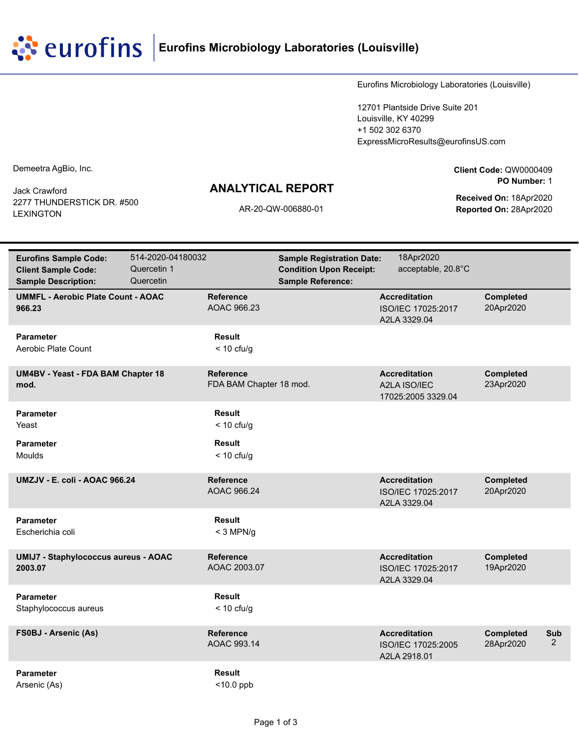**EUTOFINS** Eurofins Microbiology Laboratories (Louisville)

Eurofins Microbiology Laboratories (Louisville)

12701 Plantside Drive Suite 201 Louisville, KY 40299 +1 502 302 6370 ExpressMicroResults@eurofinsUS.com

Demeetra AgBio, Inc.

Jack Crawford 2277 THUNDERSTICK DR. #500 LEXINGTON

## **ANALYTICAL REPORT**

**Client Code:** QW0000409 **PO Number:** 1

**Received On:** 18Apr2020 AR-20-QW-006880-01 **Reported On:** 28Apr2020

| <b>Eurofins Sample Code:</b><br><b>Client Sample Code:</b><br><b>Sample Description:</b> | 514-2020-04180032<br>Quercetin 1<br>Quercetin |                                                | <b>Sample Registration Date:</b><br><b>Condition Upon Receipt:</b><br><b>Sample Reference:</b> | 18Apr2020<br>acceptable, 20.8°C                            |                               |          |
|------------------------------------------------------------------------------------------|-----------------------------------------------|------------------------------------------------|------------------------------------------------------------------------------------------------|------------------------------------------------------------|-------------------------------|----------|
| <b>UMMFL - Aerobic Plate Count - AOAC</b><br>966.23                                      |                                               | <b>Reference</b><br>AOAC 966.23                |                                                                                                | <b>Accreditation</b><br>ISO/IEC 17025:2017<br>A2LA 3329.04 | <b>Completed</b><br>20Apr2020 |          |
| <b>Parameter</b><br>Aerobic Plate Count                                                  |                                               | <b>Result</b><br>$<$ 10 cfu/g                  |                                                                                                |                                                            |                               |          |
| <b>UM4BV - Yeast - FDA BAM Chapter 18</b><br>mod.                                        |                                               | <b>Reference</b><br>FDA BAM Chapter 18 mod.    |                                                                                                | <b>Accreditation</b><br>A2LA ISO/IEC<br>17025:2005 3329.04 | <b>Completed</b><br>23Apr2020 |          |
| <b>Parameter</b><br>Yeast<br><b>Parameter</b>                                            |                                               | <b>Result</b><br>$<$ 10 cfu/g<br><b>Result</b> |                                                                                                |                                                            |                               |          |
| Moulds                                                                                   |                                               | $<$ 10 cfu/g                                   |                                                                                                |                                                            |                               |          |
| UMZJV - E. coli - AOAC 966.24                                                            |                                               | <b>Reference</b><br>AOAC 966.24                |                                                                                                | <b>Accreditation</b><br>ISO/IEC 17025:2017<br>A2LA 3329.04 | <b>Completed</b><br>20Apr2020 |          |
| <b>Parameter</b><br>Escherichia coli                                                     |                                               | <b>Result</b><br>$<$ 3 MPN/g                   |                                                                                                |                                                            |                               |          |
| <b>UMIJ7 - Staphylococcus aureus - AOAC</b><br>2003.07                                   |                                               | <b>Reference</b><br>AOAC 2003.07               |                                                                                                | <b>Accreditation</b><br>ISO/IEC 17025:2017<br>A2LA 3329.04 | <b>Completed</b><br>19Apr2020 |          |
| <b>Parameter</b><br>Staphylococcus aureus                                                |                                               | <b>Result</b><br>$<$ 10 cfu/g                  |                                                                                                |                                                            |                               |          |
| <b>FS0BJ - Arsenic (As)</b>                                                              |                                               | <b>Reference</b><br>AOAC 993.14                |                                                                                                | <b>Accreditation</b><br>ISO/IEC 17025:2005<br>A2LA 2918.01 | <b>Completed</b><br>28Apr2020 | Sub<br>2 |
| <b>Parameter</b><br>Arsenic (As)                                                         |                                               | <b>Result</b><br>$<$ 10.0 ppb                  |                                                                                                |                                                            |                               |          |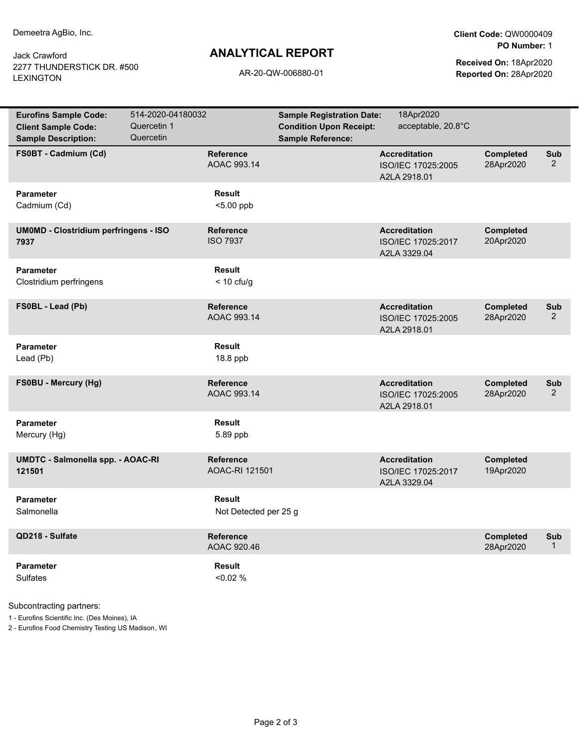Jack Crawford 2277 THUNDERSTICK DR. #500 LEXINGTON

## **ANALYTICAL REPORT**

**Client Code:** QW0000409 **PO Number:** 1

**Received On:** 18Apr2020 AR-20-QW-006880-01 **Reported On:** 28Apr2020

| <b>Eurofins Sample Code:</b><br><b>Client Sample Code:</b><br><b>Sample Description:</b> | 514-2020-04180032<br>Quercetin 1<br>Quercetin |                                        | <b>Sample Registration Date:</b><br><b>Condition Upon Receipt:</b><br><b>Sample Reference:</b> | 18Apr2020<br>acceptable, 20.8°C                            |                               |                       |
|------------------------------------------------------------------------------------------|-----------------------------------------------|----------------------------------------|------------------------------------------------------------------------------------------------|------------------------------------------------------------|-------------------------------|-----------------------|
| FS0BT - Cadmium (Cd)                                                                     |                                               | <b>Reference</b><br>AOAC 993.14        |                                                                                                | <b>Accreditation</b><br>ISO/IEC 17025:2005<br>A2LA 2918.01 | <b>Completed</b><br>28Apr2020 | Sub<br>$\overline{2}$ |
| <b>Parameter</b><br>Cadmium (Cd)                                                         |                                               | <b>Result</b><br>$< 5.00$ ppb          |                                                                                                |                                                            |                               |                       |
| <b>UMOMD - Clostridium perfringens - ISO</b><br>7937                                     |                                               | Reference<br><b>ISO 7937</b>           |                                                                                                | <b>Accreditation</b><br>ISO/IEC 17025:2017<br>A2LA 3329.04 | <b>Completed</b><br>20Apr2020 |                       |
| <b>Parameter</b><br>Clostridium perfringens                                              |                                               | <b>Result</b><br>$<$ 10 cfu/g          |                                                                                                |                                                            |                               |                       |
| FS0BL - Lead (Pb)                                                                        |                                               | <b>Reference</b><br>AOAC 993.14        |                                                                                                | <b>Accreditation</b><br>ISO/IEC 17025:2005<br>A2LA 2918.01 | <b>Completed</b><br>28Apr2020 | Sub<br>$\overline{2}$ |
| <b>Parameter</b><br>Lead (Pb)                                                            |                                               | Result<br>18.8 ppb                     |                                                                                                |                                                            |                               |                       |
| FS0BU - Mercury (Hg)                                                                     |                                               | Reference<br>AOAC 993.14               |                                                                                                | <b>Accreditation</b><br>ISO/IEC 17025:2005<br>A2LA 2918.01 | <b>Completed</b><br>28Apr2020 | Sub<br>$\overline{2}$ |
| <b>Parameter</b><br>Mercury (Hg)                                                         |                                               | Result<br>5.89 ppb                     |                                                                                                |                                                            |                               |                       |
| UMDTC - Salmonella spp. - AOAC-RI<br>121501                                              |                                               | Reference<br>AOAC-RI 121501            |                                                                                                | <b>Accreditation</b><br>ISO/IEC 17025:2017<br>A2LA 3329.04 | <b>Completed</b><br>19Apr2020 |                       |
| <b>Parameter</b><br>Salmonella                                                           |                                               | <b>Result</b><br>Not Detected per 25 g |                                                                                                |                                                            |                               |                       |
| QD218 - Sulfate                                                                          |                                               | Reference<br>AOAC 920.46               |                                                                                                |                                                            | <b>Completed</b><br>28Apr2020 | Sub<br>$\mathbf{1}$   |
| <b>Parameter</b><br><b>Sulfates</b>                                                      |                                               | <b>Result</b><br>$< 0.02 \%$           |                                                                                                |                                                            |                               |                       |

Subcontracting partners:

1 - Eurofins Scientific Inc. (Des Moines), IA

2 - Eurofins Food Chemistry Testing US Madison, WI